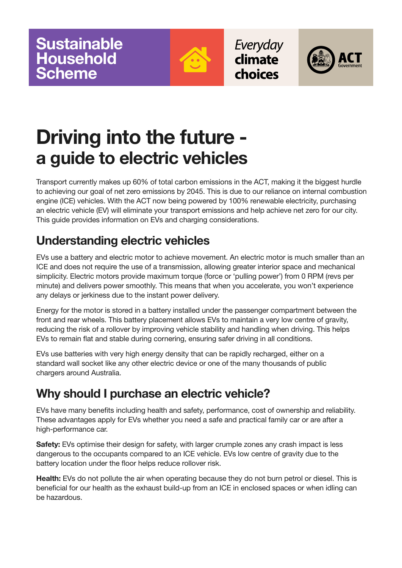

Everyday climate choices



# **Driving into the future a guide to electric vehicles**

Transport currently makes up 60% of total carbon emissions in the ACT, making it the biggest hurdle to achieving our goal of net zero emissions by 2045. This is due to our reliance on internal combustion engine (ICE) vehicles. With the ACT now being powered by 100% renewable electricity, purchasing an electric vehicle (EV) will eliminate your transport emissions and help achieve net zero for our city. This guide provides information on EVs and charging considerations.

# **Understanding electric vehicles**

EVs use a battery and electric motor to achieve movement. An electric motor is much smaller than an ICE and does not require the use of a transmission, allowing greater interior space and mechanical simplicity. Electric motors provide maximum torque (force or 'pulling power') from 0 RPM (revs per minute) and delivers power smoothly. This means that when you accelerate, you won't experience any delays or jerkiness due to the instant power delivery.

Energy for the motor is stored in a battery installed under the passenger compartment between the front and rear wheels. This battery placement allows EVs to maintain a very low centre of gravity, reducing the risk of a rollover by improving vehicle stability and handling when driving. This helps EVs to remain flat and stable during cornering, ensuring safer driving in all conditions.

EVs use batteries with very high energy density that can be rapidly recharged, either on a standard wall socket like any other electric device or one of the many thousands of public chargers around Australia.

## **Why should I purchase an electric vehicle?**

EVs have many benefits including health and safety, performance, cost of ownership and reliability. These advantages apply for EVs whether you need a safe and practical family car or are after a high-performance car.

**Safety:** EVs optimise their design for safety, with larger crumple zones any crash impact is less dangerous to the occupants compared to an ICE vehicle. EVs low centre of gravity due to the battery location under the floor helps reduce rollover risk.

**Health:** EVs do not pollute the air when operating because they do not burn petrol or diesel. This is beneficial for our health as the exhaust build-up from an ICE in enclosed spaces or when idling can be hazardous.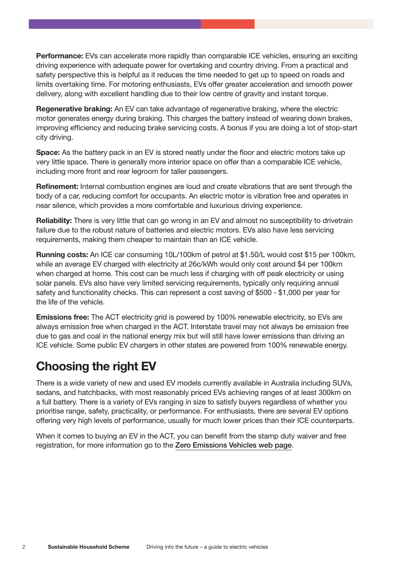**Performance:** EVs can accelerate more rapidly than comparable ICE vehicles, ensuring an exciting driving experience with adequate power for overtaking and country driving. From a practical and safety perspective this is helpful as it reduces the time needed to get up to speed on roads and limits overtaking time. For motoring enthusiasts, EVs offer greater acceleration and smooth power delivery, along with excellent handling due to their low centre of gravity and instant torque.

**Regenerative braking:** An EV can take advantage of regenerative braking, where the electric motor generates energy during braking. This charges the battery instead of wearing down brakes, improving efficiency and reducing brake servicing costs. A bonus if you are doing a lot of stop-start city driving.

**Space:** As the battery pack in an EV is stored neatly under the floor and electric motors take up very little space. There is generally more interior space on offer than a comparable ICE vehicle, including more front and rear legroom for taller passengers.

**Refinement:** Internal combustion engines are loud and create vibrations that are sent through the body of a car, reducing comfort for occupants. An electric motor is vibration free and operates in near silence, which provides a more comfortable and luxurious driving experience.

**Reliability:** There is very little that can go wrong in an EV and almost no susceptibility to drivetrain failure due to the robust nature of batteries and electric motors. EVs also have less servicing requirements, making them cheaper to maintain than an ICE vehicle.

**Running costs:** An ICE car consuming 10L/100km of petrol at \$1.50/L would cost \$15 per 100km, while an average EV charged with electricity at 26c/kWh would only cost around \$4 per 100km when charged at home. This cost can be much less if charging with off peak electricity or using solar panels. EVs also have very limited servicing requirements, typically only requiring annual safety and functionality checks. This can represent a cost saving of \$500 - \$1,000 per year for the life of the vehicle.

**Emissions free:** The ACT electricity grid is powered by 100% renewable electricity, so EVs are always emission free when charged in the ACT. Interstate travel may not always be emission free due to gas and coal in the national energy mix but will still have lower emissions than driving an ICE vehicle. Some public EV chargers in other states are powered from 100% renewable energy.

## **Choosing the right EV**

There is a wide variety of new and used EV models currently available in Australia including SUVs, sedans, and hatchbacks, with most reasonably priced EVs achieving ranges of at least 300km on a full battery. There is a variety of EVs ranging in size to satisfy buyers regardless of whether you prioritise range, safety, practicality, or performance. For enthusiasts, there are several EV options offering very high levels of performance, usually for much lower prices than their ICE counterparts.

When it comes to buying an EV in the ACT, you can benefit from the stamp duty waiver and free registration, for more information go to the [Zero Emissions Vehicles web page](https://www.environment.act.gov.au/cc/zero-emissions-vehicles).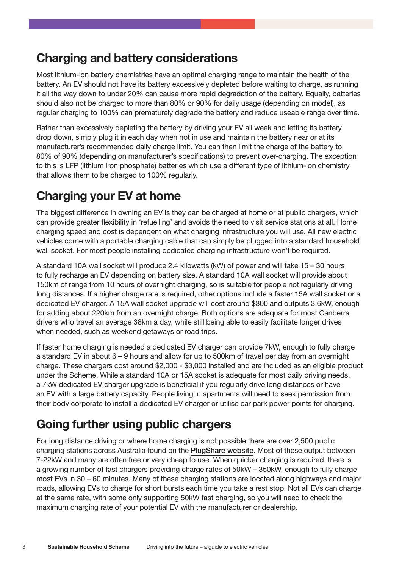#### **Charging and battery considerations**

Most lithium-ion battery chemistries have an optimal charging range to maintain the health of the battery. An EV should not have its battery excessively depleted before waiting to charge, as running it all the way down to under 20% can cause more rapid degradation of the battery. Equally, batteries should also not be charged to more than 80% or 90% for daily usage (depending on model), as regular charging to 100% can prematurely degrade the battery and reduce useable range over time.

Rather than excessively depleting the battery by driving your EV all week and letting its battery drop down, simply plug it in each day when not in use and maintain the battery near or at its manufacturer's recommended daily charge limit. You can then limit the charge of the battery to 80% of 90% (depending on manufacturer's specifications) to prevent over-charging. The exception to this is LFP (lithium iron phosphate) batteries which use a different type of lithium-ion chemistry that allows them to be charged to 100% regularly.

#### **Charging your EV at home**

The biggest difference in owning an EV is they can be charged at home or at public chargers, which can provide greater flexibility in 'refuelling' and avoids the need to visit service stations at all. Home charging speed and cost is dependent on what charging infrastructure you will use. All new electric vehicles come with a portable charging cable that can simply be plugged into a standard household wall socket. For most people installing dedicated charging infrastructure won't be required.

A standard 10A wall socket will produce 2.4 kilowatts (kW) of power and will take 15 – 30 hours to fully recharge an EV depending on battery size. A standard 10A wall socket will provide about 150km of range from 10 hours of overnight charging, so is suitable for people not regularly driving long distances. If a higher charge rate is required, other options include a faster 15A wall socket or a dedicated EV charger. A 15A wall socket upgrade will cost around \$300 and outputs 3.6kW, enough for adding about 220km from an overnight charge. Both options are adequate for most Canberra drivers who travel an average 38km a day, while still being able to easily facilitate longer drives when needed, such as weekend getaways or road trips.

If faster home charging is needed a dedicated EV charger can provide 7kW, enough to fully charge a standard EV in about 6 – 9 hours and allow for up to 500km of travel per day from an overnight charge. These chargers cost around \$2,000 - \$3,000 installed and are included as an eligible product under the Scheme. While a standard 10A or 15A socket is adequate for most daily driving needs, a 7kW dedicated EV charger upgrade is beneficial if you regularly drive long distances or have an EV with a large battery capacity. People living in apartments will need to seek permission from their body corporate to install a dedicated EV charger or utilise car park power points for charging.

## **Going further using public chargers**

For long distance driving or where home charging is not possible there are over 2,500 public charging stations across Australia found on the [PlugShare website](https://www.plugshare.com/). Most of these output between 7-22kW and many are often free or very cheap to use. When quicker charging is required, there is a growing number of fast chargers providing charge rates of 50kW – 350kW, enough to fully charge most EVs in 30 – 60 minutes. Many of these charging stations are located along highways and major roads, allowing EVs to charge for short bursts each time you take a rest stop. Not all EVs can charge at the same rate, with some only supporting 50kW fast charging, so you will need to check the maximum charging rate of your potential EV with the manufacturer or dealership.